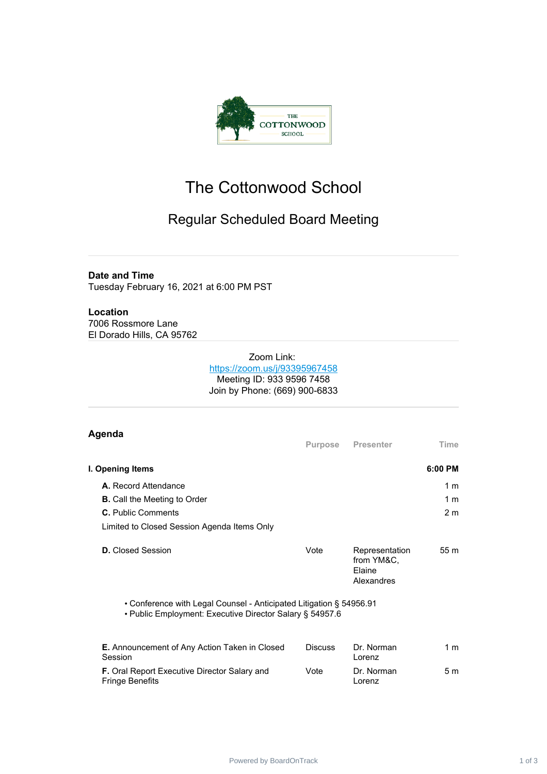

# The Cottonwood School

## Regular Scheduled Board Meeting

#### **Date and Time**

Tuesday February 16, 2021 at 6:00 PM PST

### **Location**

7006 Rossmore Lane El Dorado Hills, CA 95762

#### Zoom Link: <https://zoom.us/j/93395967458> Meeting ID: 933 9596 7458 Join by Phone: (669) 900-6833

| Agenda                                                                                                                          | <b>Purpose</b> | <b>Presenter</b>                                     | Time           |  |
|---------------------------------------------------------------------------------------------------------------------------------|----------------|------------------------------------------------------|----------------|--|
| I. Opening Items                                                                                                                |                |                                                      | $6:00$ PM      |  |
| <b>A.</b> Record Attendance                                                                                                     |                |                                                      | 1 <sub>m</sub> |  |
| <b>B.</b> Call the Meeting to Order                                                                                             |                |                                                      | 1 <sub>m</sub> |  |
| <b>C.</b> Public Comments                                                                                                       |                |                                                      | 2 <sub>m</sub> |  |
| Limited to Closed Session Agenda Items Only                                                                                     |                |                                                      |                |  |
| <b>D.</b> Closed Session                                                                                                        | Vote           | Representation<br>from YM&C.<br>Flaine<br>Alexandres | 55 m           |  |
| • Conference with Legal Counsel - Anticipated Litigation § 54956.91<br>• Public Employment: Executive Director Salary § 54957.6 |                |                                                      |                |  |
| E. Announcement of Any Action Taken in Closed<br>Session                                                                        | <b>Discuss</b> | Dr. Norman<br>Lorenz                                 | 1 <sub>m</sub> |  |
| <b>F.</b> Oral Report Executive Director Salary and<br><b>Fringe Benefits</b>                                                   | Vote           | Dr. Norman<br>Lorenz                                 | 5 <sub>m</sub> |  |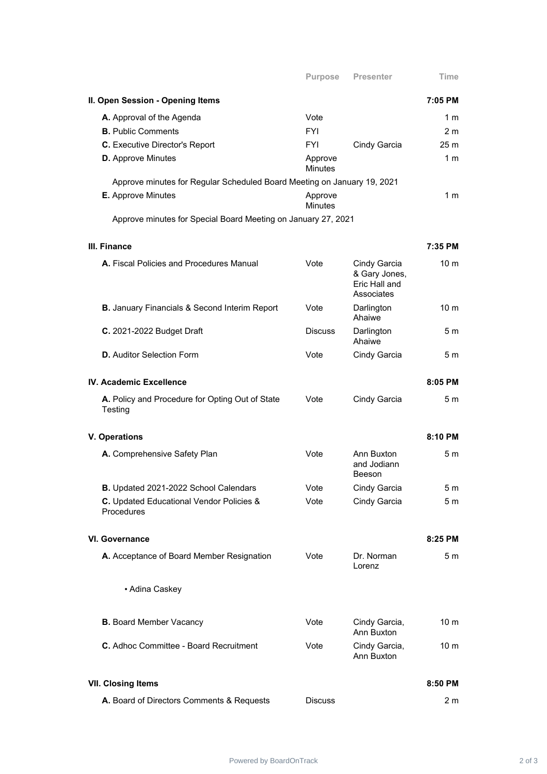| II. Open Session - Opening Items                                        |                           |                                                              | 7:05 PM         |  |  |
|-------------------------------------------------------------------------|---------------------------|--------------------------------------------------------------|-----------------|--|--|
| A. Approval of the Agenda                                               | Vote                      |                                                              | 1 <sub>m</sub>  |  |  |
| <b>B.</b> Public Comments                                               | FYI                       |                                                              | 2 <sub>m</sub>  |  |  |
| <b>C.</b> Executive Director's Report                                   | <b>FYI</b>                | Cindy Garcia                                                 | 25 <sub>m</sub> |  |  |
| <b>D.</b> Approve Minutes                                               | Approve<br><b>Minutes</b> |                                                              | 1 <sub>m</sub>  |  |  |
| Approve minutes for Regular Scheduled Board Meeting on January 19, 2021 |                           |                                                              |                 |  |  |
| E. Approve Minutes                                                      | Approve<br><b>Minutes</b> |                                                              | 1 m             |  |  |
| Approve minutes for Special Board Meeting on January 27, 2021           |                           |                                                              |                 |  |  |
| III. Finance                                                            |                           |                                                              | 7:35 PM         |  |  |
| A. Fiscal Policies and Procedures Manual                                | Vote                      | Cindy Garcia<br>& Gary Jones,<br>Eric Hall and<br>Associates | 10 <sub>m</sub> |  |  |
| <b>B.</b> January Financials & Second Interim Report                    | Vote                      | Darlington<br>Ahaiwe                                         | 10 <sub>m</sub> |  |  |
| <b>C.</b> 2021-2022 Budget Draft                                        | <b>Discuss</b>            | Darlington<br>Ahaiwe                                         | 5 m             |  |  |
| <b>D.</b> Auditor Selection Form                                        | Vote                      | Cindy Garcia                                                 | 5 m             |  |  |
| IV. Academic Excellence<br>8:05 PM                                      |                           |                                                              |                 |  |  |
| A. Policy and Procedure for Opting Out of State<br>Testing              | Vote                      | Cindy Garcia                                                 | 5 m             |  |  |
| <b>V. Operations</b>                                                    |                           |                                                              | 8:10 PM         |  |  |
| A. Comprehensive Safety Plan                                            | Vote                      | Ann Buxton<br>and Jodiann<br>Beeson                          | 5m              |  |  |
| <b>B.</b> Updated 2021-2022 School Calendars                            | Vote                      | Cindy Garcia                                                 | 5 m             |  |  |
| C. Updated Educational Vendor Policies &<br>Procedures                  | Vote                      | Cindy Garcia                                                 | 5 <sub>m</sub>  |  |  |
| <b>VI. Governance</b>                                                   |                           |                                                              | 8:25 PM         |  |  |
| A. Acceptance of Board Member Resignation                               | Vote                      | Dr. Norman<br>Lorenz                                         | 5 m             |  |  |
| • Adina Caskey                                                          |                           |                                                              |                 |  |  |
| <b>B.</b> Board Member Vacancy                                          | Vote                      | Cindy Garcia,<br>Ann Buxton                                  | 10 <sub>m</sub> |  |  |
| C. Adhoc Committee - Board Recruitment                                  | Vote                      | Cindy Garcia,<br>Ann Buxton                                  | 10 <sub>m</sub> |  |  |
| <b>VII. Closing Items</b><br>8:50 PM                                    |                           |                                                              |                 |  |  |
| A. Board of Directors Comments & Requests                               | <b>Discuss</b>            |                                                              | 2 <sub>m</sub>  |  |  |

**Purpose Presenter Time**